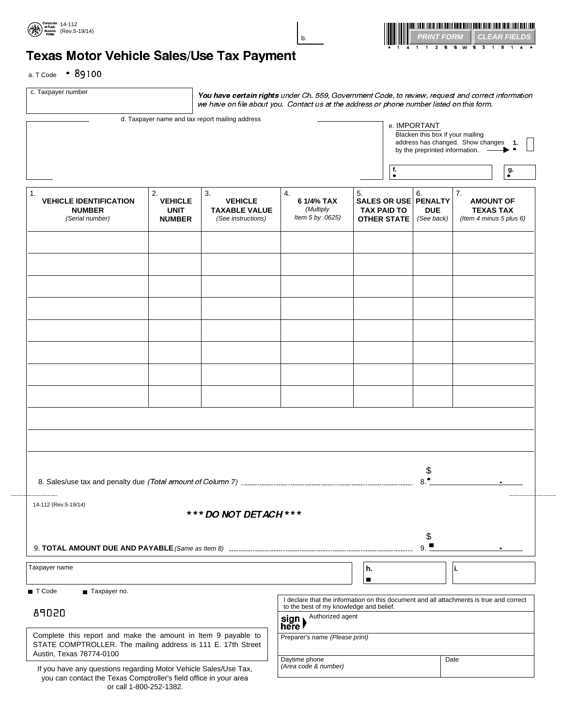



# Texas Motor Vehicle Sales/Use Tax Payment

a. T Code  $\cdot$  89100

c. Taxpayer number

You have certain rights under Ch. 559, Government Code, to review, request and correct information  $\mid$  we have on file about you. Contact us at the address or phone number listed on this form.

|                                                                                                                                                                  |                                                                               | d. Taxpayer name and tax report mailing address                    |                                                                                         |                                                                        | e. IMPORTANT<br>Blacken this box if your mailing<br>by the preprinted information. | address has changed. Show changes 1.                                  |    |
|------------------------------------------------------------------------------------------------------------------------------------------------------------------|-------------------------------------------------------------------------------|--------------------------------------------------------------------|-----------------------------------------------------------------------------------------|------------------------------------------------------------------------|------------------------------------------------------------------------------------|-----------------------------------------------------------------------|----|
|                                                                                                                                                                  |                                                                               |                                                                    |                                                                                         | f.<br>$\bullet$                                                        |                                                                                    |                                                                       | g. |
| 1.<br><b>VEHICLE IDENTIFICATION</b><br><b>NUMBER</b><br>(Serial number)                                                                                          | 2.<br><b>VEHICLE</b><br><b>UNIT</b><br><b>NUMBER</b>                          | 3.<br><b>VEHICLE</b><br><b>TAXABLE VALUE</b><br>(See instructions) | 4.<br>6 1/4% TAX<br>(Multiply<br>Item 5 by .0625)                                       | 5.<br>SALES OR USE PENALTY<br><b>TAX PAID TO</b><br><b>OTHER STATE</b> | 6.<br><b>DUE</b><br>(See back)                                                     | 7.<br><b>AMOUNT OF</b><br><b>TEXAS TAX</b><br>(Item 4 minus 5 plus 6) |    |
|                                                                                                                                                                  |                                                                               |                                                                    |                                                                                         |                                                                        |                                                                                    |                                                                       |    |
|                                                                                                                                                                  |                                                                               |                                                                    |                                                                                         |                                                                        |                                                                                    |                                                                       |    |
|                                                                                                                                                                  |                                                                               |                                                                    |                                                                                         |                                                                        |                                                                                    |                                                                       |    |
|                                                                                                                                                                  |                                                                               |                                                                    |                                                                                         |                                                                        |                                                                                    |                                                                       |    |
|                                                                                                                                                                  |                                                                               |                                                                    |                                                                                         |                                                                        |                                                                                    |                                                                       |    |
|                                                                                                                                                                  |                                                                               |                                                                    |                                                                                         |                                                                        |                                                                                    |                                                                       |    |
|                                                                                                                                                                  |                                                                               |                                                                    |                                                                                         |                                                                        |                                                                                    |                                                                       |    |
|                                                                                                                                                                  |                                                                               |                                                                    |                                                                                         |                                                                        |                                                                                    |                                                                       |    |
|                                                                                                                                                                  |                                                                               |                                                                    |                                                                                         |                                                                        | \$<br>٠                                                                            |                                                                       |    |
| 14-112 (Rev.5-19/14)                                                                                                                                             |                                                                               | *** DO NOT DETACH ***                                              |                                                                                         |                                                                        |                                                                                    |                                                                       |    |
|                                                                                                                                                                  |                                                                               |                                                                    | \$<br>9.                                                                                |                                                                        |                                                                                    |                                                                       |    |
| Taxpayer name                                                                                                                                                    |                                                                               | h.<br>п                                                            |                                                                                         | ۱i.                                                                    |                                                                                    |                                                                       |    |
| T Code<br>Taxpayer no.                                                                                                                                           |                                                                               |                                                                    | I declare that the information on this document and all attachments is true and correct |                                                                        |                                                                                    |                                                                       |    |
| 89020                                                                                                                                                            | to the best of my knowledge and belief.<br>Authorized agent<br>sign<br>here l |                                                                    |                                                                                         |                                                                        |                                                                                    |                                                                       |    |
| Complete this report and make the amount in Item 9 payable to<br>STATE COMPTROLLER. The mailing address is 111 E. 17th Street<br>Austin, Texas 78774-0100        |                                                                               |                                                                    | Preparer's name (Please print)                                                          |                                                                        |                                                                                    |                                                                       |    |
| If you have any questions regarding Motor Vehicle Sales/Use Tax,<br>you can contact the Texas Comptroller's field office in your area<br>or call 1-800-252-1382. |                                                                               |                                                                    | Daytime phone<br>(Area code & number)                                                   |                                                                        |                                                                                    | Date                                                                  |    |